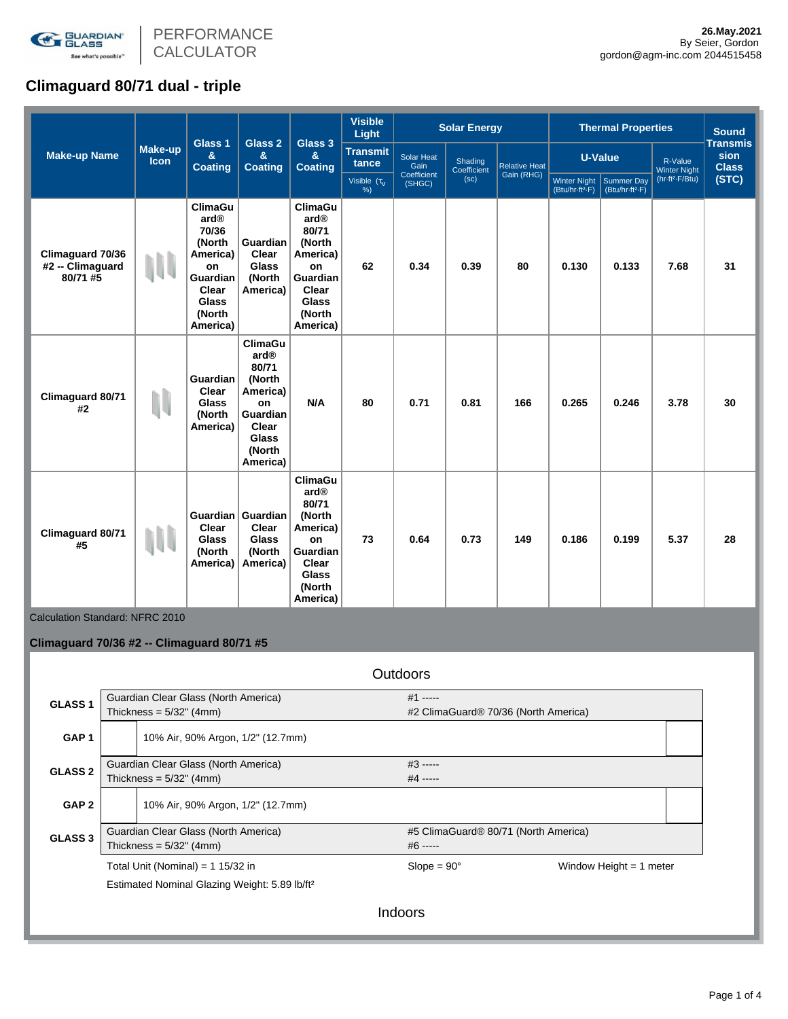

# **Climaguard 80/71 dual - triple**

|                                                  |                        |                                                                                                                               |                                                                                                                                    |                                                                                                                                    | <b>Visible</b><br><b>Light</b> |                           | <b>Solar Energy</b>    |                      |                                             | <b>Thermal Properties</b>                 |                                | <b>Sound</b>                            |
|--------------------------------------------------|------------------------|-------------------------------------------------------------------------------------------------------------------------------|------------------------------------------------------------------------------------------------------------------------------------|------------------------------------------------------------------------------------------------------------------------------------|--------------------------------|---------------------------|------------------------|----------------------|---------------------------------------------|-------------------------------------------|--------------------------------|-----------------------------------------|
| <b>Make-up Name</b>                              | Make-up<br><b>Icon</b> | Glass <sub>1</sub><br>$\mathbf{a}$<br><b>Coating</b>                                                                          | Glass 2<br>&<br><b>Coating</b>                                                                                                     | Glass 3<br>&<br><b>Coating</b>                                                                                                     | <b>Transmit</b><br>tance       | <b>Solar Heat</b><br>Gain | Shading<br>Coefficient | <b>Relative Heat</b> |                                             | <b>U-Value</b>                            | R-Value<br><b>Winter Night</b> | <b>Transmis</b><br>sion<br><b>Class</b> |
|                                                  |                        |                                                                                                                               |                                                                                                                                    |                                                                                                                                    | Visible $(\tau_V)$<br>%        | Coefficient<br>(SHGC)     | (sc)                   | Gain (RHG)           | Winter Night<br>(Btu/hr-ft <sup>2</sup> -F) | Summer Day<br>(Btu/hr-ft <sup>2</sup> -F) | (hr-ft <sup>2</sup> -F/Btu)    | (STC)                                   |
| Climaguard 70/36<br>#2 -- Climaguard<br>80/71 #5 |                        | <b>ClimaGu</b><br>ard®<br>70/36<br>(North<br>America)<br>on<br><b>Guardian</b><br>Clear<br><b>Glass</b><br>(North<br>America) | Guardian<br>Clear<br><b>Glass</b><br>(North<br>America)                                                                            | <b>ClimaGu</b><br>ard®<br>80/71<br>(North<br>America)<br>on<br>Guardian<br>Clear<br><b>Glass</b><br>(North<br>America)             | 62                             | 0.34                      | 0.39                   | 80                   | 0.130                                       | 0.133                                     | 7.68                           | 31                                      |
| Climaguard 80/71<br>#2                           | N                      | <b>Guardian</b><br>Clear<br><b>Glass</b><br>(North<br>America)                                                                | <b>ClimaGu</b><br>ard <sup>®</sup><br>80/71<br>(North<br>America)<br>on<br>Guardian<br>Clear<br><b>Glass</b><br>(North<br>America) | N/A                                                                                                                                | 80                             | 0.71                      | 0.81                   | 166                  | 0.265                                       | 0.246                                     | 3.78                           | 30                                      |
| Climaguard 80/71<br>#5                           |                        | Clear<br>Glass<br>(North<br>America)                                                                                          | Guardian Guardian<br>Clear<br>Glass<br>(North<br>America)                                                                          | <b>ClimaGu</b><br>ard <sup>®</sup><br>80/71<br>(North<br>America)<br>on<br>Guardian<br>Clear<br><b>Glass</b><br>(North<br>America) | 73                             | 0.64                      | 0.73                   | 149                  | 0.186                                       | 0.199                                     | 5.37                           | 28                                      |

Calculation Standard: NFRC 2010

## **Climaguard 70/36 #2 -- Climaguard 80/71 #5**

|                    |                            |                                                           | <b>Outdoors</b>                      |                                      |                           |  |  |  |  |
|--------------------|----------------------------|-----------------------------------------------------------|--------------------------------------|--------------------------------------|---------------------------|--|--|--|--|
| GLASS <sub>1</sub> |                            | Guardian Clear Glass (North America)                      |                                      | $#1$ -----                           |                           |  |  |  |  |
|                    |                            | Thickness = $5/32$ " (4mm)                                |                                      | #2 ClimaGuard® 70/36 (North America) |                           |  |  |  |  |
| GAP <sub>1</sub>   |                            | 10% Air, 90% Argon, 1/2" (12.7mm)                         |                                      |                                      |                           |  |  |  |  |
| <b>GLASS 2</b>     |                            | Guardian Clear Glass (North America)                      |                                      | $#3$ -----                           |                           |  |  |  |  |
|                    |                            | Thickness = $5/32$ " (4mm)                                |                                      | $#4$ -----                           |                           |  |  |  |  |
| GAP <sub>2</sub>   |                            | 10% Air, 90% Argon, 1/2" (12.7mm)                         |                                      |                                      |                           |  |  |  |  |
| <b>GLASS 3</b>     |                            | Guardian Clear Glass (North America)                      | #5 ClimaGuard® 80/71 (North America) |                                      |                           |  |  |  |  |
|                    | Thickness = $5/32$ " (4mm) |                                                           |                                      | $#6$ -----                           |                           |  |  |  |  |
|                    |                            | Total Unit (Nominal) = 1 15/32 in                         |                                      | $Slope = 90^\circ$                   | Window Height $= 1$ meter |  |  |  |  |
|                    |                            | Estimated Nominal Glazing Weight: 5.89 lb/ft <sup>2</sup> |                                      |                                      |                           |  |  |  |  |
|                    |                            |                                                           | Indoors                              |                                      |                           |  |  |  |  |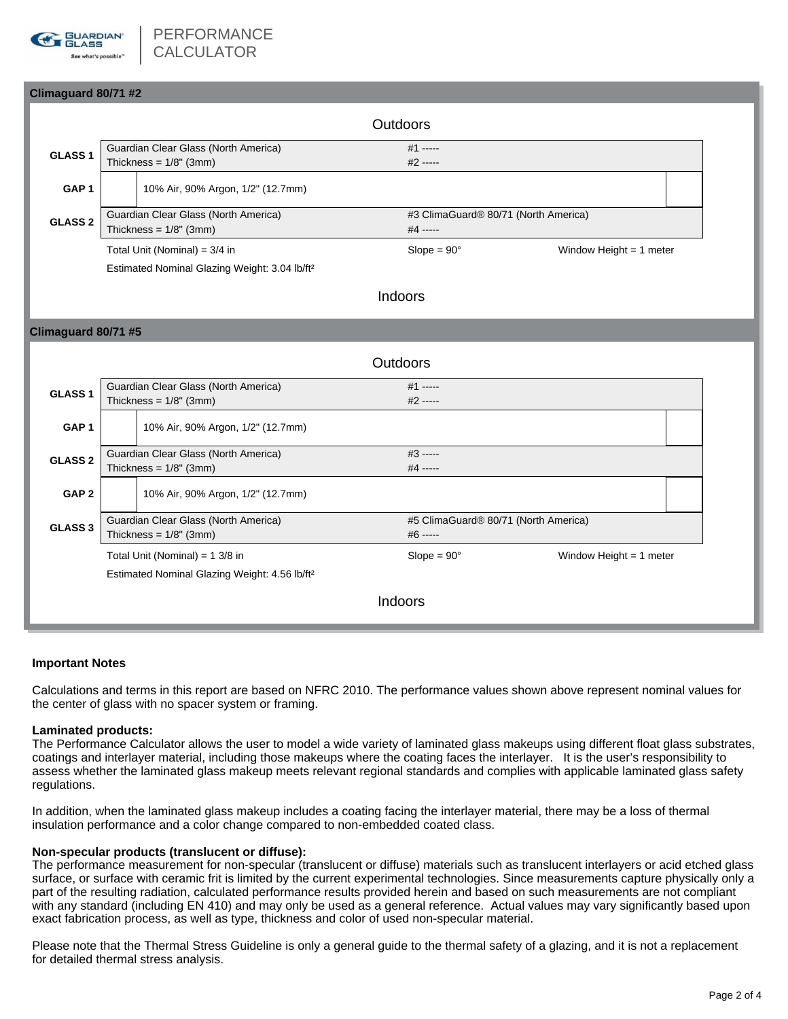

## **Climaguard 80/71 #2**

|                                 |  | Outdoors                             |                                      |                           |  |  |  |
|---------------------------------|--|--------------------------------------|--------------------------------------|---------------------------|--|--|--|
| GLASS <sub>1</sub>              |  | Guardian Clear Glass (North America) | $#1$ -----                           |                           |  |  |  |
|                                 |  | Thickness = $1/8$ " (3mm)            | $#2$ -----                           |                           |  |  |  |
| GAP <sub>1</sub>                |  | 10% Air, 90% Argon, 1/2" (12.7mm)    |                                      |                           |  |  |  |
| <b>GLASS 2</b>                  |  | Guardian Clear Glass (North America) | #3 ClimaGuard® 80/71 (North America) |                           |  |  |  |
|                                 |  | Thickness = $1/8$ " (3mm)            | $#4$ -----                           |                           |  |  |  |
| Total Unit (Nominal) = $3/4$ in |  |                                      | $Slope = 90^\circ$                   | Window Height $= 1$ meter |  |  |  |

Estimated Nominal Glazing Weight: 3.04 lb/ft²

## Indoors

### **Climaguard 80/71 #5**

|                    |                                           |                                                           | Outdoors |                                                  |                           |  |  |
|--------------------|-------------------------------------------|-----------------------------------------------------------|----------|--------------------------------------------------|---------------------------|--|--|
| GLASS <sub>1</sub> | Guardian Clear Glass (North America)      |                                                           |          | $#1$ -----                                       |                           |  |  |
|                    | Thickness = $1/8$ " (3mm)                 |                                                           |          | $#2$ -----                                       |                           |  |  |
| GAP <sub>1</sub>   |                                           | 10% Air, 90% Argon, 1/2" (12.7mm)                         |          |                                                  |                           |  |  |
|                    | Guardian Clear Glass (North America)      |                                                           |          | #3 -----                                         |                           |  |  |
| <b>GLASS 2</b>     | Thickness = $1/8$ " (3mm)                 |                                                           | #4 ----- |                                                  |                           |  |  |
| GAP <sub>2</sub>   |                                           | 10% Air, 90% Argon, 1/2" (12.7mm)                         |          |                                                  |                           |  |  |
| <b>GLASS 3</b>     | Guardian Clear Glass (North America)      |                                                           |          | #5 ClimaGuard <sup>®</sup> 80/71 (North America) |                           |  |  |
|                    | Thickness = $1/8$ " (3mm)                 |                                                           |          | #6 -----                                         |                           |  |  |
|                    | Total Unit (Nominal) = $1 \frac{3}{8}$ in |                                                           |          | $Slope = 90^\circ$                               | Window Height $= 1$ meter |  |  |
|                    |                                           | Estimated Nominal Glazing Weight: 4.56 lb/ft <sup>2</sup> |          |                                                  |                           |  |  |
|                    |                                           |                                                           | Indoors  |                                                  |                           |  |  |

#### **Important Notes**

Calculations and terms in this report are based on NFRC 2010. The performance values shown above represent nominal values for the center of glass with no spacer system or framing.

#### **Laminated products:**

The Performance Calculator allows the user to model a wide variety of laminated glass makeups using different float glass substrates, coatings and interlayer material, including those makeups where the coating faces the interlayer. It is the user's responsibility to assess whether the laminated glass makeup meets relevant regional standards and complies with applicable laminated glass safety regulations.

In addition, when the laminated glass makeup includes a coating facing the interlayer material, there may be a loss of thermal insulation performance and a color change compared to non-embedded coated class.

#### **Non-specular products (translucent or diffuse):**

The performance measurement for non-specular (translucent or diffuse) materials such as translucent interlayers or acid etched glass surface, or surface with ceramic frit is limited by the current experimental technologies. Since measurements capture physically only a part of the resulting radiation, calculated performance results provided herein and based on such measurements are not compliant with any standard (including EN 410) and may only be used as a general reference. Actual values may vary significantly based upon exact fabrication process, as well as type, thickness and color of used non-specular material.

Please note that the Thermal Stress Guideline is only a general guide to the thermal safety of a glazing, and it is not a replacement for detailed thermal stress analysis.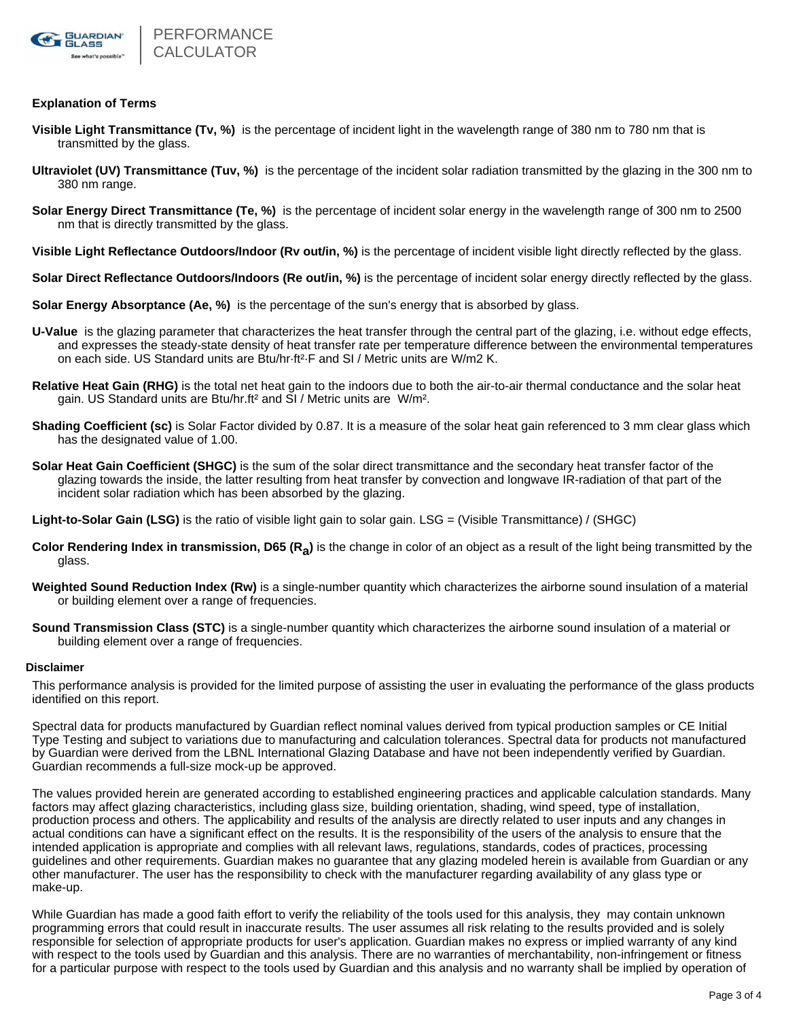

#### **Explanation of Terms**

- **Visible Light Transmittance (Tv, %)** is the percentage of incident light in the wavelength range of 380 nm to 780 nm that is transmitted by the glass.
- **Ultraviolet (UV) Transmittance (Tuv, %)** is the percentage of the incident solar radiation transmitted by the glazing in the 300 nm to 380 nm range.
- **Solar Energy Direct Transmittance (Te, %)** is the percentage of incident solar energy in the wavelength range of 300 nm to 2500 nm that is directly transmitted by the glass.
- **Visible Light Reflectance Outdoors/Indoor (Rv out/in, %)** is the percentage of incident visible light directly reflected by the glass.
- **Solar Direct Reflectance Outdoors/Indoors (Re out/in, %)** is the percentage of incident solar energy directly reflected by the glass.
- **Solar Energy Absorptance (Ae, %)** is the percentage of the sun's energy that is absorbed by glass.
- **U-Value** is the glazing parameter that characterizes the heat transfer through the central part of the glazing, i.e. without edge effects, and expresses the steady-state density of heat transfer rate per temperature difference between the environmental temperatures on each side. US Standard units are Btu/hr·ft²·F and SI / Metric units are W/m2 K.
- **Relative Heat Gain (RHG)** is the total net heat gain to the indoors due to both the air-to-air thermal conductance and the solar heat gain. US Standard units are Btu/hr.ft² and SI / Metric units are W/m².
- **Shading Coefficient (sc)** is Solar Factor divided by 0.87. It is a measure of the solar heat gain referenced to 3 mm clear glass which has the designated value of 1.00.
- **Solar Heat Gain Coefficient (SHGC)** is the sum of the solar direct transmittance and the secondary heat transfer factor of the glazing towards the inside, the latter resulting from heat transfer by convection and longwave IR-radiation of that part of the incident solar radiation which has been absorbed by the glazing.

**Light-to-Solar Gain (LSG)** is the ratio of visible light gain to solar gain. LSG = (Visible Transmittance) / (SHGC)

- Color Rendering Index in transmission, D65 (R<sub>a</sub>) is the change in color of an object as a result of the light being transmitted by the glass.
- **Weighted Sound Reduction Index (Rw)** is a single-number quantity which characterizes the airborne sound insulation of a material or building element over a range of frequencies.
- **Sound Transmission Class (STC)** is a single-number quantity which characterizes the airborne sound insulation of a material or building element over a range of frequencies.

#### **Disclaimer**

This performance analysis is provided for the limited purpose of assisting the user in evaluating the performance of the glass products identified on this report.

Spectral data for products manufactured by Guardian reflect nominal values derived from typical production samples or CE Initial Type Testing and subject to variations due to manufacturing and calculation tolerances. Spectral data for products not manufactured by Guardian were derived from the LBNL International Glazing Database and have not been independently verified by Guardian. Guardian recommends a full-size mock-up be approved.

The values provided herein are generated according to established engineering practices and applicable calculation standards. Many factors may affect glazing characteristics, including glass size, building orientation, shading, wind speed, type of installation, production process and others. The applicability and results of the analysis are directly related to user inputs and any changes in actual conditions can have a significant effect on the results. It is the responsibility of the users of the analysis to ensure that the intended application is appropriate and complies with all relevant laws, regulations, standards, codes of practices, processing guidelines and other requirements. Guardian makes no guarantee that any glazing modeled herein is available from Guardian or any other manufacturer. The user has the responsibility to check with the manufacturer regarding availability of any glass type or make-up.

While Guardian has made a good faith effort to verify the reliability of the tools used for this analysis, they may contain unknown programming errors that could result in inaccurate results. The user assumes all risk relating to the results provided and is solely responsible for selection of appropriate products for user's application. Guardian makes no express or implied warranty of any kind with respect to the tools used by Guardian and this analysis. There are no warranties of merchantability, non-infringement or fitness for a particular purpose with respect to the tools used by Guardian and this analysis and no warranty shall be implied by operation of